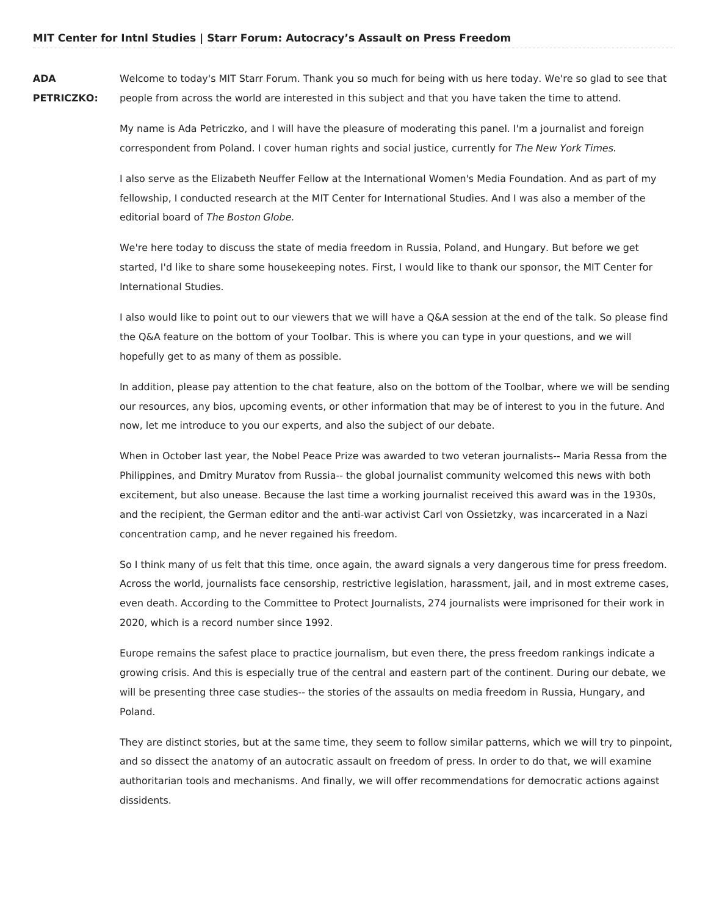**ADA PETRICZKO:** Welcome to today's MIT Starr Forum. Thank you so much for being with us here today. We're so glad to see that people from across the world are interested in this subject and that you have taken the time to attend.

> My name is Ada Petriczko, and I will have the pleasure of moderating this panel. I'm a journalist and foreign correspondent from Poland. I cover human rights and social justice, currently for The New York Times.

I also serve as the Elizabeth Neuffer Fellow at the International Women's Media Foundation. And as part of my fellowship, I conducted research at the MIT Center for International Studies. And I was also a member of the editorial board of The Boston Globe.

We're here today to discuss the state of media freedom in Russia, Poland, and Hungary. But before we get started, I'd like to share some housekeeping notes. First, I would like to thank our sponsor, the MIT Center for International Studies.

I also would like to point out to our viewers that we will have a Q&A session at the end of the talk. So please find the Q&A feature on the bottom of your Toolbar. This is where you can type in your questions, and we will hopefully get to as many of them as possible.

In addition, please pay attention to the chat feature, also on the bottom of the Toolbar, where we will be sending our resources, any bios, upcoming events, or other information that may be of interest to you in the future. And now, let me introduce to you our experts, and also the subject of our debate.

When in October last year, the Nobel Peace Prize was awarded to two veteran journalists-- Maria Ressa from the Philippines, and Dmitry Muratov from Russia-- the global journalist community welcomed this news with both excitement, but also unease. Because the last time a working journalist received this award was in the 1930s, and the recipient, the German editor and the anti-war activist Carl von Ossietzky, was incarcerated in a Nazi concentration camp, and he never regained his freedom.

So I think many of us felt that this time, once again, the award signals a very dangerous time for press freedom. Across the world, journalists face censorship, restrictive legislation, harassment, jail, and in most extreme cases, even death. According to the Committee to Protect Journalists, 274 journalists were imprisoned for their work in 2020, which is a record number since 1992.

Europe remains the safest place to practice journalism, but even there, the press freedom rankings indicate a growing crisis. And this is especially true of the central and eastern part of the continent. During our debate, we will be presenting three case studies-- the stories of the assaults on media freedom in Russia, Hungary, and Poland.

They are distinct stories, but at the same time, they seem to follow similar patterns, which we will try to pinpoint, and so dissect the anatomy of an autocratic assault on freedom of press. In order to do that, we will examine authoritarian tools and mechanisms. And finally, we will offer recommendations for democratic actions against dissidents.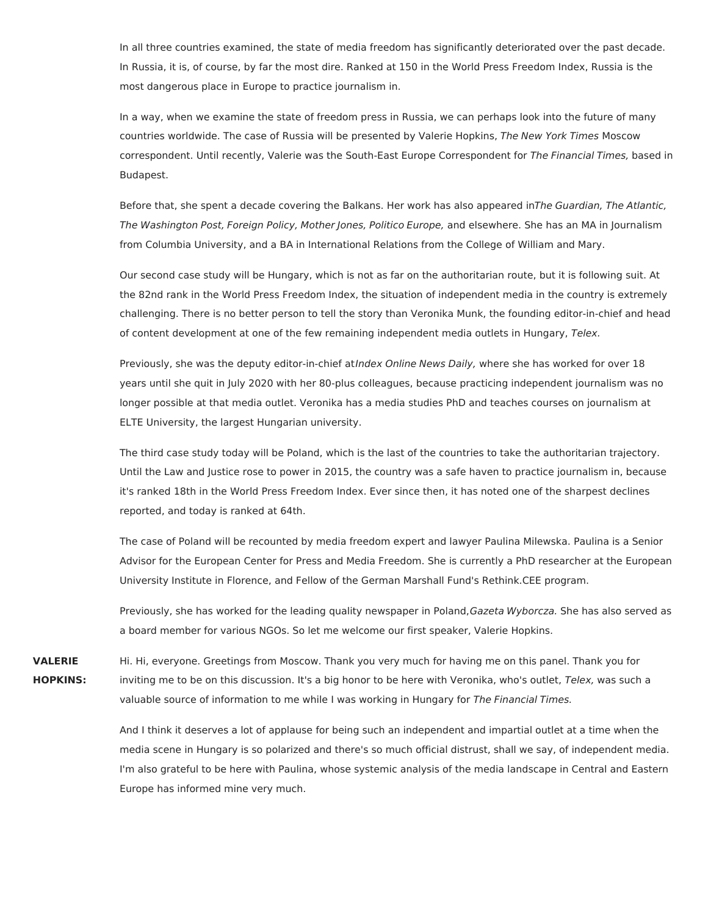In all three countries examined, the state of media freedom has significantly deteriorated over the past decade. In Russia, it is, of course, by far the most dire. Ranked at 150 in the World Press Freedom Index, Russia is the most dangerous place in Europe to practice journalism in.

In a way, when we examine the state of freedom press in Russia, we can perhaps look into the future of many countries worldwide. The case of Russia will be presented by Valerie Hopkins, The New York Times Moscow correspondent. Until recently, Valerie was the South-East Europe Correspondent for The Financial Times, based in Budapest.

Before that, she spent a decade covering the Balkans. Her work has also appeared inThe Guardian, The Atlantic, The Washington Post, Foreign Policy, Mother Jones, Politico Europe, and elsewhere. She has an MA in Journalism from Columbia University, and a BA in International Relations from the College of William and Mary.

Our second case study will be Hungary, which is not as far on the authoritarian route, but it is following suit. At the 82nd rank in the World Press Freedom Index, the situation of independent media in the country is extremely challenging. There is no better person to tell the story than Veronika Munk, the founding editor-in-chief and head of content development at one of the few remaining independent media outlets in Hungary, Telex.

Previously, she was the deputy editor-in-chief atIndex Online News Daily, where she has worked for over 18 years until she quit in July 2020 with her 80-plus colleagues, because practicing independent journalism was no longer possible at that media outlet. Veronika has a media studies PhD and teaches courses on journalism at ELTE University, the largest Hungarian university.

The third case study today will be Poland, which is the last of the countries to take the authoritarian trajectory. Until the Law and Justice rose to power in 2015, the country was a safe haven to practice journalism in, because it's ranked 18th in the World Press Freedom Index. Ever since then, it has noted one of the sharpest declines reported, and today is ranked at 64th.

The case of Poland will be recounted by media freedom expert and lawyer Paulina Milewska. Paulina is a Senior Advisor for the European Center for Press and Media Freedom. She is currently a PhD researcher at the European University Institute in Florence, and Fellow of the German Marshall Fund's Rethink.CEE program.

Previously, she has worked for the leading quality newspaper in Poland, Gazeta Wyborcza. She has also served as a board member for various NGOs. So let me welcome our first speaker, Valerie Hopkins.

**VALERIE HOPKINS:** Hi. Hi, everyone. Greetings from Moscow. Thank you very much for having me on this panel. Thank you for inviting me to be on this discussion. It's a big honor to be here with Veronika, who's outlet, Telex, was such a valuable source of information to me while I was working in Hungary for The Financial Times.

> And I think it deserves a lot of applause for being such an independent and impartial outlet at a time when the media scene in Hungary is so polarized and there's so much official distrust, shall we say, of independent media. I'm also grateful to be here with Paulina, whose systemic analysis of the media landscape in Central and Eastern Europe has informed mine very much.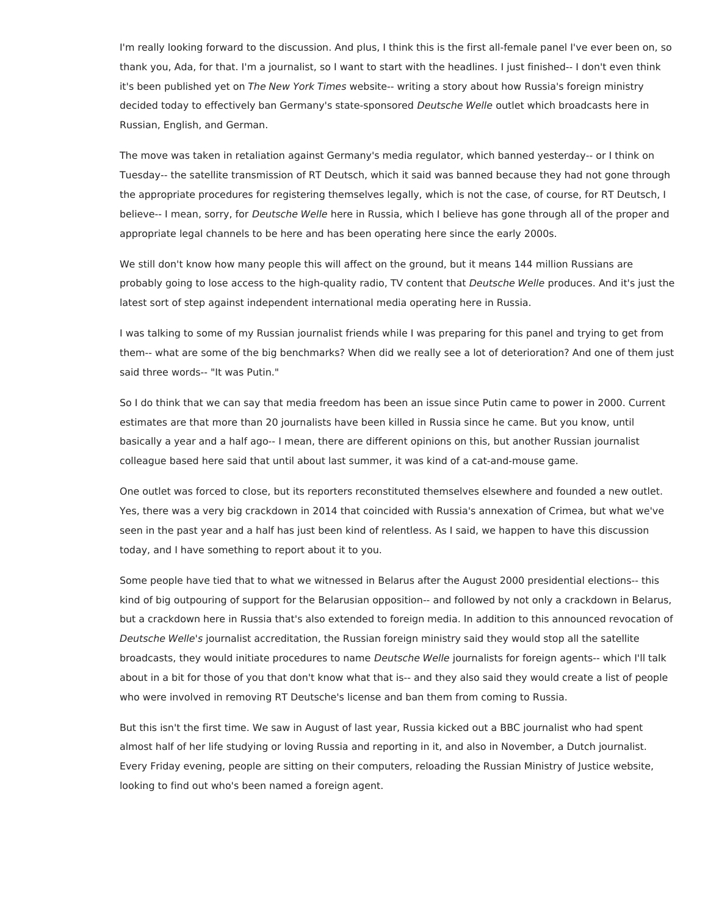I'm really looking forward to the discussion. And plus, I think this is the first all-female panel I've ever been on, so thank you, Ada, for that. I'm a journalist, so I want to start with the headlines. I just finished-- I don't even think it's been published yet on The New York Times website-- writing a story about how Russia's foreign ministry decided today to effectively ban Germany's state-sponsored Deutsche Welle outlet which broadcasts here in Russian, English, and German.

The move was taken in retaliation against Germany's media regulator, which banned yesterday-- or I think on Tuesday-- the satellite transmission of RT Deutsch, which it said was banned because they had not gone through the appropriate procedures for registering themselves legally, which is not the case, of course, for RT Deutsch, I believe-- I mean, sorry, for Deutsche Welle here in Russia, which I believe has gone through all of the proper and appropriate legal channels to be here and has been operating here since the early 2000s.

We still don't know how many people this will affect on the ground, but it means 144 million Russians are probably going to lose access to the high-quality radio, TV content that Deutsche Welle produces. And it's just the latest sort of step against independent international media operating here in Russia.

I was talking to some of my Russian journalist friends while I was preparing for this panel and trying to get from them-- what are some of the big benchmarks? When did we really see a lot of deterioration? And one of them just said three words-- "It was Putin."

So I do think that we can say that media freedom has been an issue since Putin came to power in 2000. Current estimates are that more than 20 journalists have been killed in Russia since he came. But you know, until basically a year and a half ago-- I mean, there are different opinions on this, but another Russian journalist colleague based here said that until about last summer, it was kind of a cat-and-mouse game.

One outlet was forced to close, but its reporters reconstituted themselves elsewhere and founded a new outlet. Yes, there was a very big crackdown in 2014 that coincided with Russia's annexation of Crimea, but what we've seen in the past year and a half has just been kind of relentless. As I said, we happen to have this discussion today, and I have something to report about it to you.

Some people have tied that to what we witnessed in Belarus after the August 2000 presidential elections-- this kind of big outpouring of support for the Belarusian opposition-- and followed by not only a crackdown in Belarus, but a crackdown here in Russia that's also extended to foreign media. In addition to this announced revocation of Deutsche Welle's journalist accreditation, the Russian foreign ministry said they would stop all the satellite broadcasts, they would initiate procedures to name Deutsche Welle journalists for foreign agents-- which I'll talk about in a bit for those of you that don't know what that is-- and they also said they would create a list of people who were involved in removing RT Deutsche's license and ban them from coming to Russia.

But this isn't the first time. We saw in August of last year, Russia kicked out a BBC journalist who had spent almost half of her life studying or loving Russia and reporting in it, and also in November, a Dutch journalist. Every Friday evening, people are sitting on their computers, reloading the Russian Ministry of Justice website, looking to find out who's been named a foreign agent.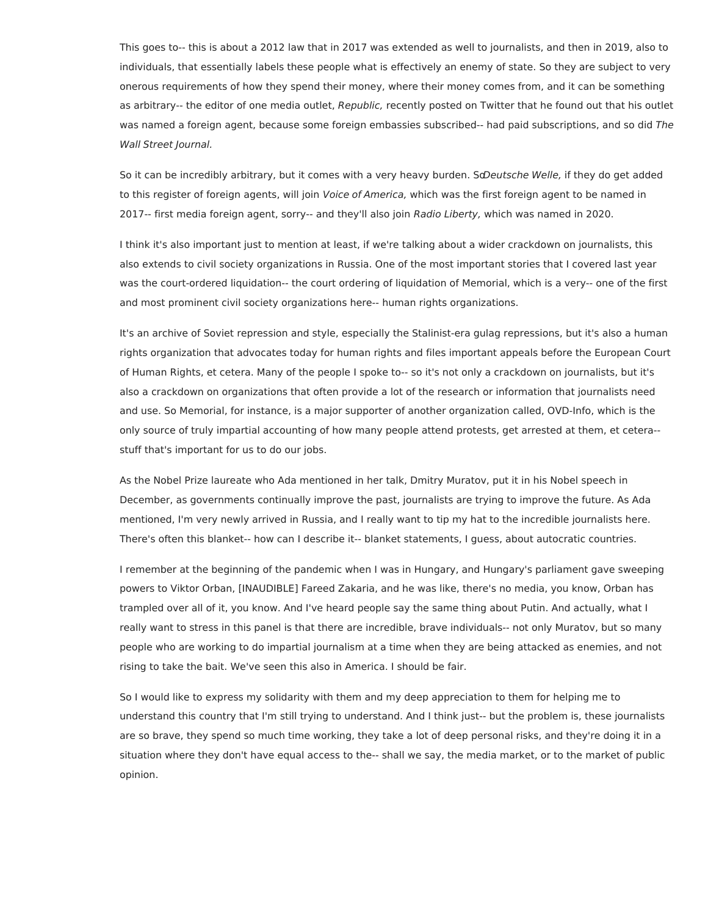This goes to-- this is about a 2012 law that in 2017 was extended as well to journalists, and then in 2019, also to individuals, that essentially labels these people what is effectively an enemy of state. So they are subject to very onerous requirements of how they spend their money, where their money comes from, and it can be something as arbitrary-- the editor of one media outlet, Republic, recently posted on Twitter that he found out that his outlet was named a foreign agent, because some foreign embassies subscribed-- had paid subscriptions, and so did The Wall Street Journal.

So it can be incredibly arbitrary, but it comes with a very heavy burden. So Deutsche Welle, if they do get added to this register of foreign agents, will join Voice of America, which was the first foreign agent to be named in 2017-- first media foreign agent, sorry-- and they'll also join Radio Liberty, which was named in 2020.

I think it's also important just to mention at least, if we're talking about a wider crackdown on journalists, this also extends to civil society organizations in Russia. One of the most important stories that I covered last year was the court-ordered liquidation-- the court ordering of liquidation of Memorial, which is a very-- one of the first and most prominent civil society organizations here-- human rights organizations.

It's an archive of Soviet repression and style, especially the Stalinist-era gulag repressions, but it's also a human rights organization that advocates today for human rights and files important appeals before the European Court of Human Rights, et cetera. Many of the people I spoke to-- so it's not only a crackdown on journalists, but it's also a crackdown on organizations that often provide a lot of the research or information that journalists need and use. So Memorial, for instance, is a major supporter of another organization called, OVD-Info, which is the only source of truly impartial accounting of how many people attend protests, get arrested at them, et cetera- stuff that's important for us to do our jobs.

As the Nobel Prize laureate who Ada mentioned in her talk, Dmitry Muratov, put it in his Nobel speech in December, as governments continually improve the past, journalists are trying to improve the future. As Ada mentioned, I'm very newly arrived in Russia, and I really want to tip my hat to the incredible journalists here. There's often this blanket-- how can I describe it-- blanket statements, I guess, about autocratic countries.

I remember at the beginning of the pandemic when I was in Hungary, and Hungary's parliament gave sweeping powers to Viktor Orban, [INAUDIBLE] Fareed Zakaria, and he was like, there's no media, you know, Orban has trampled over all of it, you know. And I've heard people say the same thing about Putin. And actually, what I really want to stress in this panel is that there are incredible, brave individuals-- not only Muratov, but so many people who are working to do impartial journalism at a time when they are being attacked as enemies, and not rising to take the bait. We've seen this also in America. I should be fair.

So I would like to express my solidarity with them and my deep appreciation to them for helping me to understand this country that I'm still trying to understand. And I think just-- but the problem is, these journalists are so brave, they spend so much time working, they take a lot of deep personal risks, and they're doing it in a situation where they don't have equal access to the-- shall we say, the media market, or to the market of public opinion.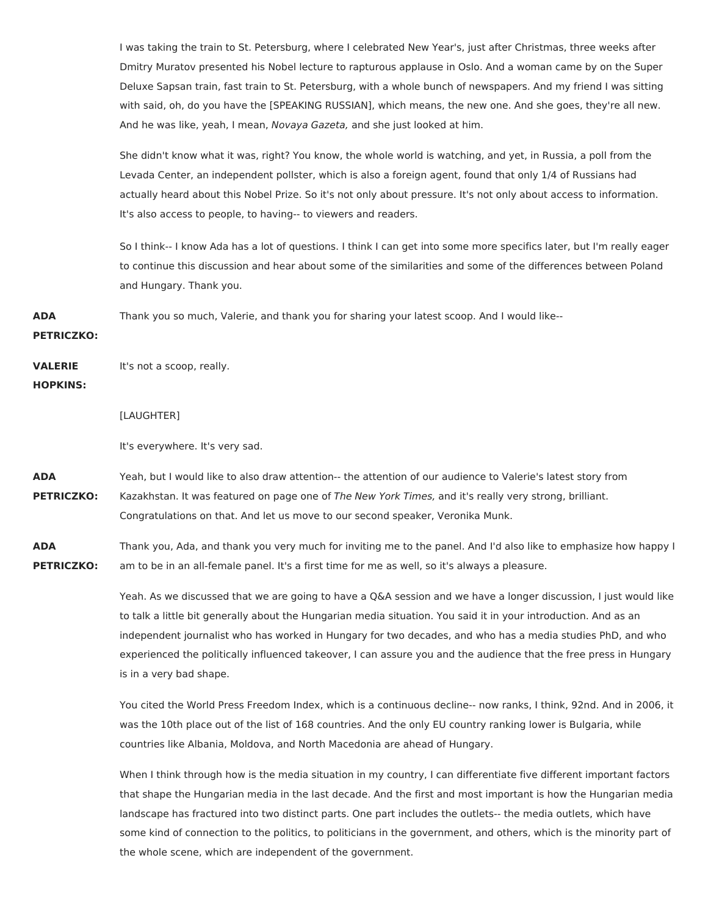I was taking the train to St. Petersburg, where I celebrated New Year's, just after Christmas, three weeks after Dmitry Muratov presented his Nobel lecture to rapturous applause in Oslo. And a woman came by on the Super Deluxe Sapsan train, fast train to St. Petersburg, with a whole bunch of newspapers. And my friend I was sitting with said, oh, do you have the [SPEAKING RUSSIAN], which means, the new one. And she goes, they're all new. And he was like, yeah, I mean, Novaya Gazeta, and she just looked at him.

She didn't know what it was, right? You know, the whole world is watching, and yet, in Russia, a poll from the Levada Center, an independent pollster, which is also a foreign agent, found that only 1/4 of Russians had actually heard about this Nobel Prize. So it's not only about pressure. It's not only about access to information. It's also access to people, to having-- to viewers and readers.

So I think-- I know Ada has a lot of questions. I think I can get into some more specifics later, but I'm really eager to continue this discussion and hear about some of the similarities and some of the differences between Poland and Hungary. Thank you.

**ADA** Thank you so much, Valerie, and thank you for sharing your latest scoop. And I would like--

**PETRICZKO:**

**VALERIE** It's not a scoop, really.

## **HOPKINS:**

## [LAUGHTER]

It's everywhere. It's very sad.

**ADA PETRICZKO:** Yeah, but I would like to also draw attention-- the attention of our audience to Valerie's latest story from Kazakhstan. It was featured on page one of The New York Times, and it's really very strong, brilliant. Congratulations on that. And let us move to our second speaker, Veronika Munk.

**ADA PETRICZKO:** Thank you, Ada, and thank you very much for inviting me to the panel. And I'd also like to emphasize how happy I am to be in an all-female panel. It's a first time for me as well, so it's always a pleasure.

> Yeah. As we discussed that we are going to have a Q&A session and we have a longer discussion, I just would like to talk a little bit generally about the Hungarian media situation. You said it in your introduction. And as an independent journalist who has worked in Hungary for two decades, and who has a media studies PhD, and who experienced the politically influenced takeover, I can assure you and the audience that the free press in Hungary is in a very bad shape.

> You cited the World Press Freedom Index, which is a continuous decline-- now ranks, I think, 92nd. And in 2006, it was the 10th place out of the list of 168 countries. And the only EU country ranking lower is Bulgaria, while countries like Albania, Moldova, and North Macedonia are ahead of Hungary.

> When I think through how is the media situation in my country, I can differentiate five different important factors that shape the Hungarian media in the last decade. And the first and most important is how the Hungarian media landscape has fractured into two distinct parts. One part includes the outlets-- the media outlets, which have some kind of connection to the politics, to politicians in the government, and others, which is the minority part of the whole scene, which are independent of the government.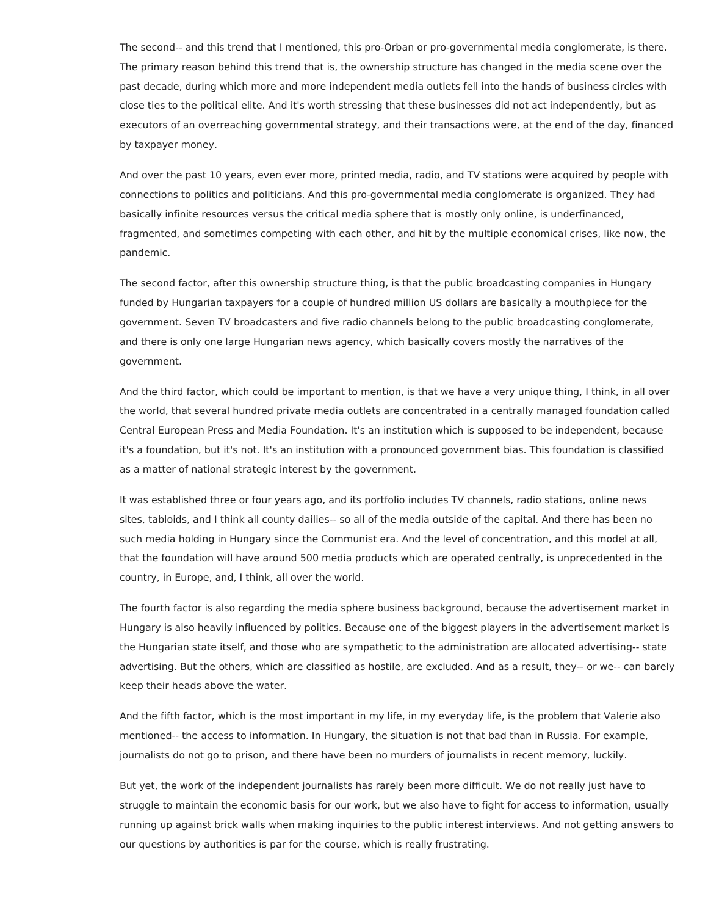The second-- and this trend that I mentioned, this pro-Orban or pro-governmental media conglomerate, is there. The primary reason behind this trend that is, the ownership structure has changed in the media scene over the past decade, during which more and more independent media outlets fell into the hands of business circles with close ties to the political elite. And it's worth stressing that these businesses did not act independently, but as executors of an overreaching governmental strategy, and their transactions were, at the end of the day, financed by taxpayer money.

And over the past 10 years, even ever more, printed media, radio, and TV stations were acquired by people with connections to politics and politicians. And this pro-governmental media conglomerate is organized. They had basically infinite resources versus the critical media sphere that is mostly only online, is underfinanced, fragmented, and sometimes competing with each other, and hit by the multiple economical crises, like now, the pandemic.

The second factor, after this ownership structure thing, is that the public broadcasting companies in Hungary funded by Hungarian taxpayers for a couple of hundred million US dollars are basically a mouthpiece for the government. Seven TV broadcasters and five radio channels belong to the public broadcasting conglomerate, and there is only one large Hungarian news agency, which basically covers mostly the narratives of the government.

And the third factor, which could be important to mention, is that we have a very unique thing, I think, in all over the world, that several hundred private media outlets are concentrated in a centrally managed foundation called Central European Press and Media Foundation. It's an institution which is supposed to be independent, because it's a foundation, but it's not. It's an institution with a pronounced government bias. This foundation is classified as a matter of national strategic interest by the government.

It was established three or four years ago, and its portfolio includes TV channels, radio stations, online news sites, tabloids, and I think all county dailies-- so all of the media outside of the capital. And there has been no such media holding in Hungary since the Communist era. And the level of concentration, and this model at all, that the foundation will have around 500 media products which are operated centrally, is unprecedented in the country, in Europe, and, I think, all over the world.

The fourth factor is also regarding the media sphere business background, because the advertisement market in Hungary is also heavily influenced by politics. Because one of the biggest players in the advertisement market is the Hungarian state itself, and those who are sympathetic to the administration are allocated advertising-- state advertising. But the others, which are classified as hostile, are excluded. And as a result, they-- or we-- can barely keep their heads above the water.

And the fifth factor, which is the most important in my life, in my everyday life, is the problem that Valerie also mentioned-- the access to information. In Hungary, the situation is not that bad than in Russia. For example, journalists do not go to prison, and there have been no murders of journalists in recent memory, luckily.

But yet, the work of the independent journalists has rarely been more difficult. We do not really just have to struggle to maintain the economic basis for our work, but we also have to fight for access to information, usually running up against brick walls when making inquiries to the public interest interviews. And not getting answers to our questions by authorities is par for the course, which is really frustrating.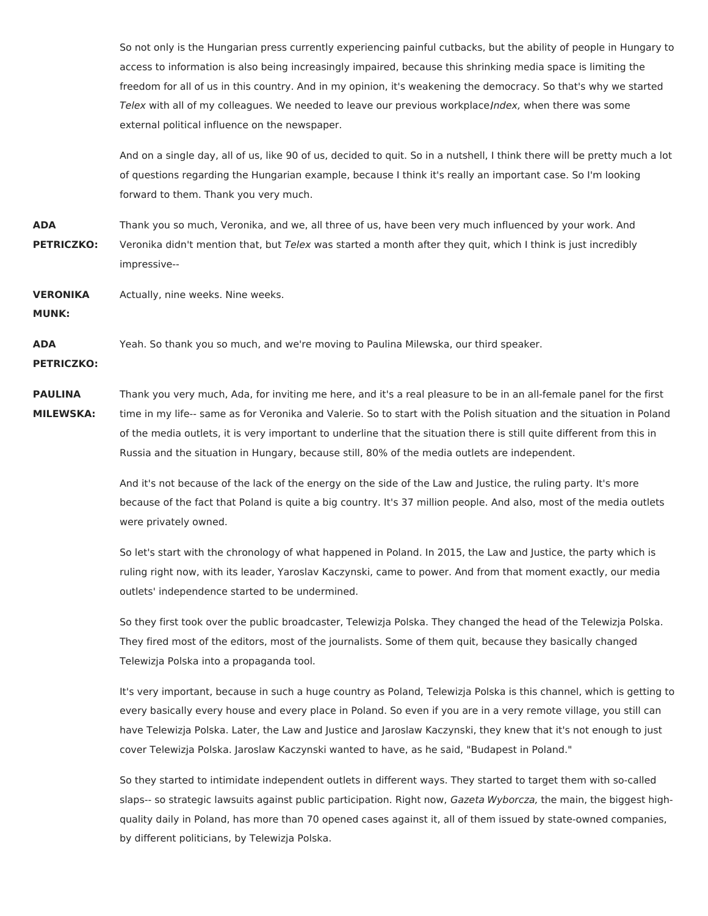So not only is the Hungarian press currently experiencing painful cutbacks, but the ability of people in Hungary to access to information is also being increasingly impaired, because this shrinking media space is limiting the freedom for all of us in this country. And in my opinion, it's weakening the democracy. So that's why we started Telex with all of my colleagues. We needed to leave our previous workplace/ndex, when there was some external political influence on the newspaper.

And on a single day, all of us, like 90 of us, decided to quit. So in a nutshell, I think there will be pretty much a lot of questions regarding the Hungarian example, because I think it's really an important case. So I'm looking forward to them. Thank you very much.

**ADA PETRICZKO:** Thank you so much, Veronika, and we, all three of us, have been very much influenced by your work. And Veronika didn't mention that, but Telex was started a month after they quit, which I think is just incredibly impressive--

**VERONIKA MUNK:** Actually, nine weeks. Nine weeks.

**ADA** Yeah. So thank you so much, and we're moving to Paulina Milewska, our third speaker.

**PETRICZKO:**

**PAULINA MILEWSKA:** Thank you very much, Ada, for inviting me here, and it's a real pleasure to be in an all-female panel for the first time in my life-- same as for Veronika and Valerie. So to start with the Polish situation and the situation in Poland of the media outlets, it is very important to underline that the situation there is still quite different from this in Russia and the situation in Hungary, because still, 80% of the media outlets are independent.

> And it's not because of the lack of the energy on the side of the Law and Justice, the ruling party. It's more because of the fact that Poland is quite a big country. It's 37 million people. And also, most of the media outlets were privately owned.

> So let's start with the chronology of what happened in Poland. In 2015, the Law and Justice, the party which is ruling right now, with its leader, Yaroslav Kaczynski, came to power. And from that moment exactly, our media outlets' independence started to be undermined.

> So they first took over the public broadcaster, Telewizja Polska. They changed the head of the Telewizja Polska. They fired most of the editors, most of the journalists. Some of them quit, because they basically changed Telewizja Polska into a propaganda tool.

It's very important, because in such a huge country as Poland, Telewizja Polska is this channel, which is getting to every basically every house and every place in Poland. So even if you are in a very remote village, you still can have Telewizja Polska. Later, the Law and Justice and Jaroslaw Kaczynski, they knew that it's not enough to just cover Telewizja Polska. Jaroslaw Kaczynski wanted to have, as he said, "Budapest in Poland."

So they started to intimidate independent outlets in different ways. They started to target them with so-called slaps-- so strategic lawsuits against public participation. Right now, Gazeta Wyborcza, the main, the biggest highquality daily in Poland, has more than 70 opened cases against it, all of them issued by state-owned companies, by different politicians, by Telewizja Polska.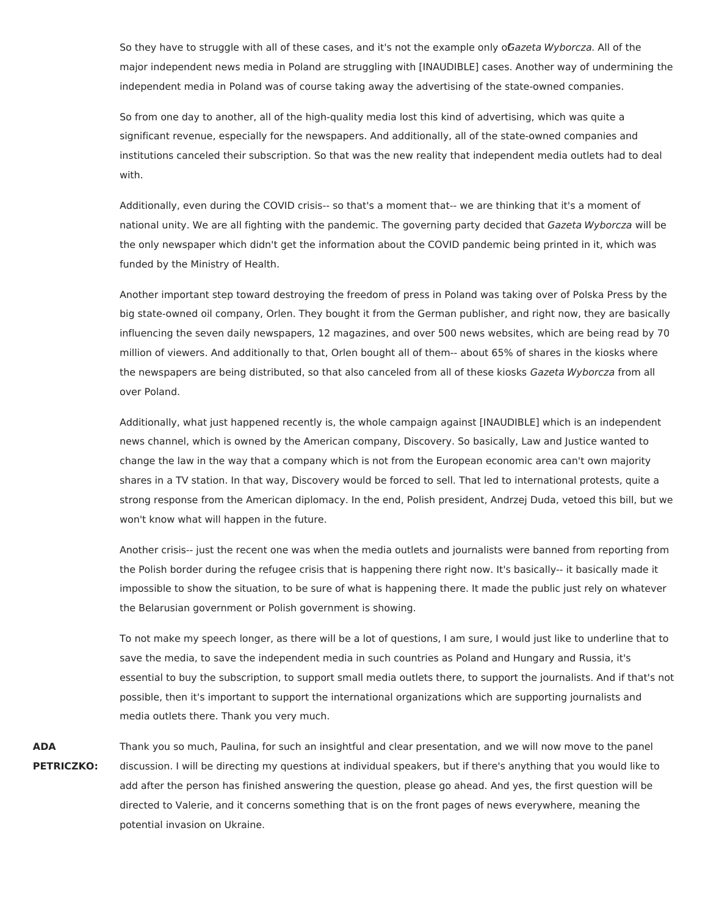So they have to struggle with all of these cases, and it's not the example only o*Gazeta Wyborcza.* All of the major independent news media in Poland are struggling with [INAUDIBLE] cases. Another way of undermining the independent media in Poland was of course taking away the advertising of the state-owned companies.

So from one day to another, all of the high-quality media lost this kind of advertising, which was quite a significant revenue, especially for the newspapers. And additionally, all of the state-owned companies and institutions canceled their subscription. So that was the new reality that independent media outlets had to deal with.

Additionally, even during the COVID crisis-- so that's a moment that-- we are thinking that it's a moment of national unity. We are all fighting with the pandemic. The governing party decided that Gazeta Wyborcza will be the only newspaper which didn't get the information about the COVID pandemic being printed in it, which was funded by the Ministry of Health.

Another important step toward destroying the freedom of press in Poland was taking over of Polska Press by the big state-owned oil company, Orlen. They bought it from the German publisher, and right now, they are basically influencing the seven daily newspapers, 12 magazines, and over 500 news websites, which are being read by 70 million of viewers. And additionally to that, Orlen bought all of them-- about 65% of shares in the kiosks where the newspapers are being distributed, so that also canceled from all of these kiosks Gazeta Wyborcza from all over Poland.

Additionally, what just happened recently is, the whole campaign against [INAUDIBLE] which is an independent news channel, which is owned by the American company, Discovery. So basically, Law and Justice wanted to change the law in the way that a company which is not from the European economic area can't own majority shares in a TV station. In that way, Discovery would be forced to sell. That led to international protests, quite a strong response from the American diplomacy. In the end, Polish president, Andrzej Duda, vetoed this bill, but we won't know what will happen in the future.

Another crisis-- just the recent one was when the media outlets and journalists were banned from reporting from the Polish border during the refugee crisis that is happening there right now. It's basically-- it basically made it impossible to show the situation, to be sure of what is happening there. It made the public just rely on whatever the Belarusian government or Polish government is showing.

To not make my speech longer, as there will be a lot of questions, I am sure, I would just like to underline that to save the media, to save the independent media in such countries as Poland and Hungary and Russia, it's essential to buy the subscription, to support small media outlets there, to support the journalists. And if that's not possible, then it's important to support the international organizations which are supporting journalists and media outlets there. Thank you very much.

**ADA PETRICZKO:** Thank you so much, Paulina, for such an insightful and clear presentation, and we will now move to the panel discussion. I will be directing my questions at individual speakers, but if there's anything that you would like to add after the person has finished answering the question, please go ahead. And yes, the first question will be directed to Valerie, and it concerns something that is on the front pages of news everywhere, meaning the potential invasion on Ukraine.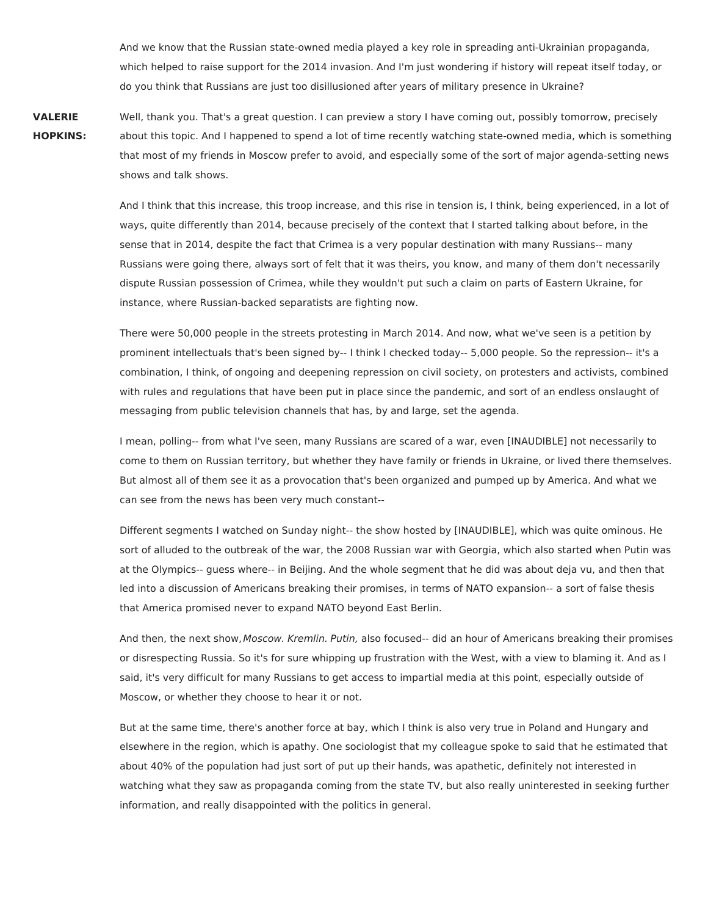And we know that the Russian state-owned media played a key role in spreading anti-Ukrainian propaganda, which helped to raise support for the 2014 invasion. And I'm just wondering if history will repeat itself today, or do you think that Russians are just too disillusioned after years of military presence in Ukraine?

**VALERIE HOPKINS:** Well, thank you. That's a great question. I can preview a story I have coming out, possibly tomorrow, precisely about this topic. And I happened to spend a lot of time recently watching state-owned media, which is something that most of my friends in Moscow prefer to avoid, and especially some of the sort of major agenda-setting news shows and talk shows.

> And I think that this increase, this troop increase, and this rise in tension is, I think, being experienced, in a lot of ways, quite differently than 2014, because precisely of the context that I started talking about before, in the sense that in 2014, despite the fact that Crimea is a very popular destination with many Russians-- many Russians were going there, always sort of felt that it was theirs, you know, and many of them don't necessarily dispute Russian possession of Crimea, while they wouldn't put such a claim on parts of Eastern Ukraine, for instance, where Russian-backed separatists are fighting now.

> There were 50,000 people in the streets protesting in March 2014. And now, what we've seen is a petition by prominent intellectuals that's been signed by-- I think I checked today-- 5,000 people. So the repression-- it's a combination, I think, of ongoing and deepening repression on civil society, on protesters and activists, combined with rules and regulations that have been put in place since the pandemic, and sort of an endless onslaught of messaging from public television channels that has, by and large, set the agenda.

> I mean, polling-- from what I've seen, many Russians are scared of a war, even [INAUDIBLE] not necessarily to come to them on Russian territory, but whether they have family or friends in Ukraine, or lived there themselves. But almost all of them see it as a provocation that's been organized and pumped up by America. And what we can see from the news has been very much constant--

> Different segments I watched on Sunday night-- the show hosted by [INAUDIBLE], which was quite ominous. He sort of alluded to the outbreak of the war, the 2008 Russian war with Georgia, which also started when Putin was at the Olympics-- guess where-- in Beijing. And the whole segment that he did was about deja vu, and then that led into a discussion of Americans breaking their promises, in terms of NATO expansion-- a sort of false thesis that America promised never to expand NATO beyond East Berlin.

> And then, the next show, Moscow. Kremlin. Putin, also focused-- did an hour of Americans breaking their promises or disrespecting Russia. So it's for sure whipping up frustration with the West, with a view to blaming it. And as I said, it's very difficult for many Russians to get access to impartial media at this point, especially outside of Moscow, or whether they choose to hear it or not.

> But at the same time, there's another force at bay, which I think is also very true in Poland and Hungary and elsewhere in the region, which is apathy. One sociologist that my colleague spoke to said that he estimated that about 40% of the population had just sort of put up their hands, was apathetic, definitely not interested in watching what they saw as propaganda coming from the state TV, but also really uninterested in seeking further information, and really disappointed with the politics in general.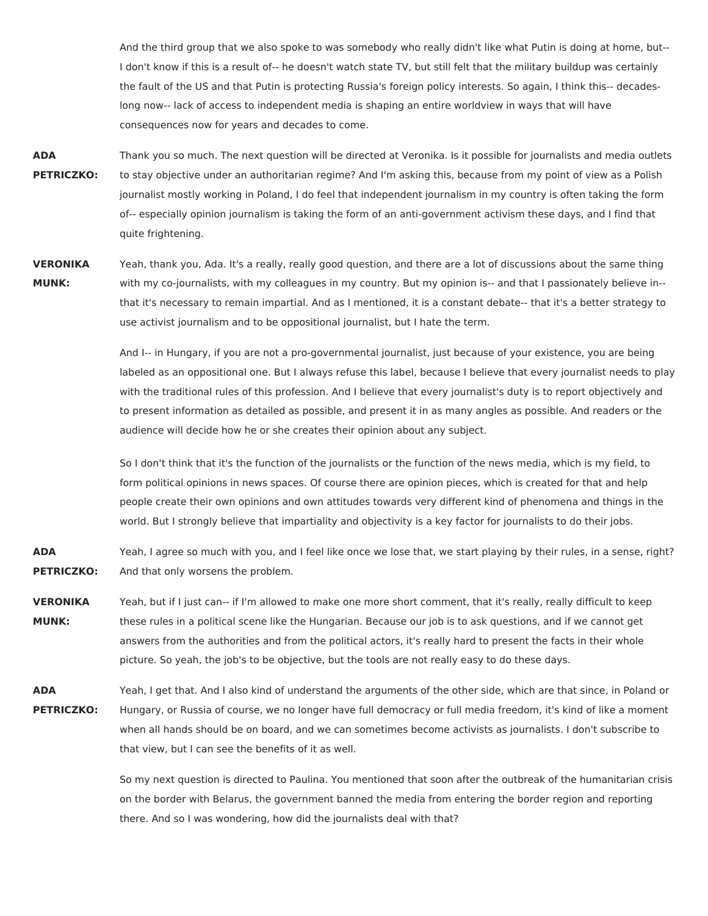And the third group that we also spoke to was somebody who really didn't like what Putin is doing at home, but-- I don't know if this is a result of-- he doesn't watch state TV, but still felt that the military buildup was certainly the fault of the US and that Putin is protecting Russia's foreign policy interests. So again, I think this-- decadeslong now-- lack of access to independent media is shaping an entire worldview in ways that will have consequences now for years and decades to come.

- **ADA PETRICZKO:** Thank you so much. The next question will be directed at Veronika. Is it possible for journalists and media outlets to stay objective under an authoritarian regime? And I'm asking this, because from my point of view as a Polish journalist mostly working in Poland, I do feel that independent journalism in my country is often taking the form of-- especially opinion journalism is taking the form of an anti-government activism these days, and I find that quite frightening.
- **VERONIKA MUNK:** Yeah, thank you, Ada. It's a really, really good question, and there are a lot of discussions about the same thing with my co-journalists, with my colleagues in my country. But my opinion is-- and that I passionately believe in- that it's necessary to remain impartial. And as I mentioned, it is a constant debate-- that it's a better strategy to use activist journalism and to be oppositional journalist, but I hate the term.

And I-- in Hungary, if you are not a pro-governmental journalist, just because of your existence, you are being labeled as an oppositional one. But I always refuse this label, because I believe that every journalist needs to play with the traditional rules of this profession. And I believe that every journalist's duty is to report objectively and to present information as detailed as possible, and present it in as many angles as possible. And readers or the audience will decide how he or she creates their opinion about any subject.

So I don't think that it's the function of the journalists or the function of the news media, which is my field, to form political opinions in news spaces. Of course there are opinion pieces, which is created for that and help people create their own opinions and own attitudes towards very different kind of phenomena and things in the world. But I strongly believe that impartiality and objectivity is a key factor for journalists to do their jobs.

**ADA PETRICZKO:** Yeah, I agree so much with you, and I feel like once we lose that, we start playing by their rules, in a sense, right? And that only worsens the problem.

- **VERONIKA MUNK:** Yeah, but if I just can-- if I'm allowed to make one more short comment, that it's really, really difficult to keep these rules in a political scene like the Hungarian. Because our job is to ask questions, and if we cannot get answers from the authorities and from the political actors, it's really hard to present the facts in their whole picture. So yeah, the job's to be objective, but the tools are not really easy to do these days.
- **ADA PETRICZKO:** Yeah, I get that. And I also kind of understand the arguments of the other side, which are that since, in Poland or Hungary, or Russia of course, we no longer have full democracy or full media freedom, it's kind of like a moment when all hands should be on board, and we can sometimes become activists as journalists. I don't subscribe to that view, but I can see the benefits of it as well.

So my next question is directed to Paulina. You mentioned that soon after the outbreak of the humanitarian crisis on the border with Belarus, the government banned the media from entering the border region and reporting there. And so I was wondering, how did the journalists deal with that?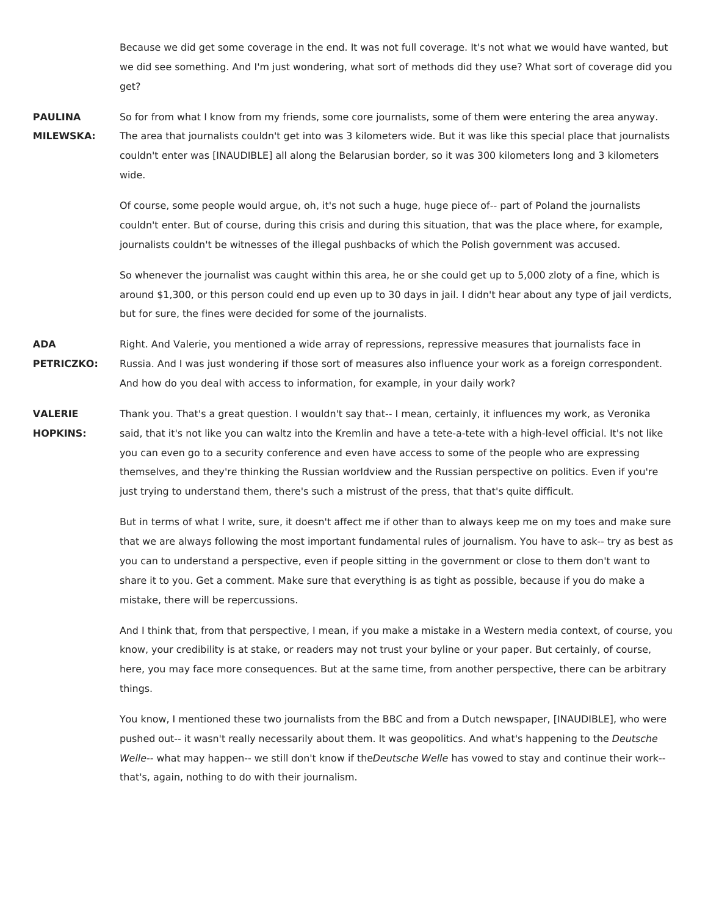Because we did get some coverage in the end. It was not full coverage. It's not what we would have wanted, but we did see something. And I'm just wondering, what sort of methods did they use? What sort of coverage did you get?

**PAULINA MILEWSKA:** So for from what I know from my friends, some core journalists, some of them were entering the area anyway. The area that journalists couldn't get into was 3 kilometers wide. But it was like this special place that journalists couldn't enter was [INAUDIBLE] all along the Belarusian border, so it was 300 kilometers long and 3 kilometers wide.

> Of course, some people would argue, oh, it's not such a huge, huge piece of-- part of Poland the journalists couldn't enter. But of course, during this crisis and during this situation, that was the place where, for example, journalists couldn't be witnesses of the illegal pushbacks of which the Polish government was accused.

So whenever the journalist was caught within this area, he or she could get up to 5,000 zloty of a fine, which is around \$1,300, or this person could end up even up to 30 days in jail. I didn't hear about any type of jail verdicts, but for sure, the fines were decided for some of the journalists.

**ADA PETRICZKO:** Right. And Valerie, you mentioned a wide array of repressions, repressive measures that journalists face in Russia. And I was just wondering if those sort of measures also influence your work as a foreign correspondent. And how do you deal with access to information, for example, in your daily work?

**VALERIE HOPKINS:** Thank you. That's a great question. I wouldn't say that-- I mean, certainly, it influences my work, as Veronika said, that it's not like you can waltz into the Kremlin and have a tete-a-tete with a high-level official. It's not like you can even go to a security conference and even have access to some of the people who are expressing themselves, and they're thinking the Russian worldview and the Russian perspective on politics. Even if you're just trying to understand them, there's such a mistrust of the press, that that's quite difficult.

> But in terms of what I write, sure, it doesn't affect me if other than to always keep me on my toes and make sure that we are always following the most important fundamental rules of journalism. You have to ask-- try as best as you can to understand a perspective, even if people sitting in the government or close to them don't want to share it to you. Get a comment. Make sure that everything is as tight as possible, because if you do make a mistake, there will be repercussions.

> And I think that, from that perspective, I mean, if you make a mistake in a Western media context, of course, you know, your credibility is at stake, or readers may not trust your byline or your paper. But certainly, of course, here, you may face more consequences. But at the same time, from another perspective, there can be arbitrary things.

You know, I mentioned these two journalists from the BBC and from a Dutch newspaper, [INAUDIBLE], who were pushed out-- it wasn't really necessarily about them. It was geopolitics. And what's happening to the Deutsche Welle-- what may happen-- we still don't know if theDeutsche Welle has vowed to stay and continue their work-that's, again, nothing to do with their journalism.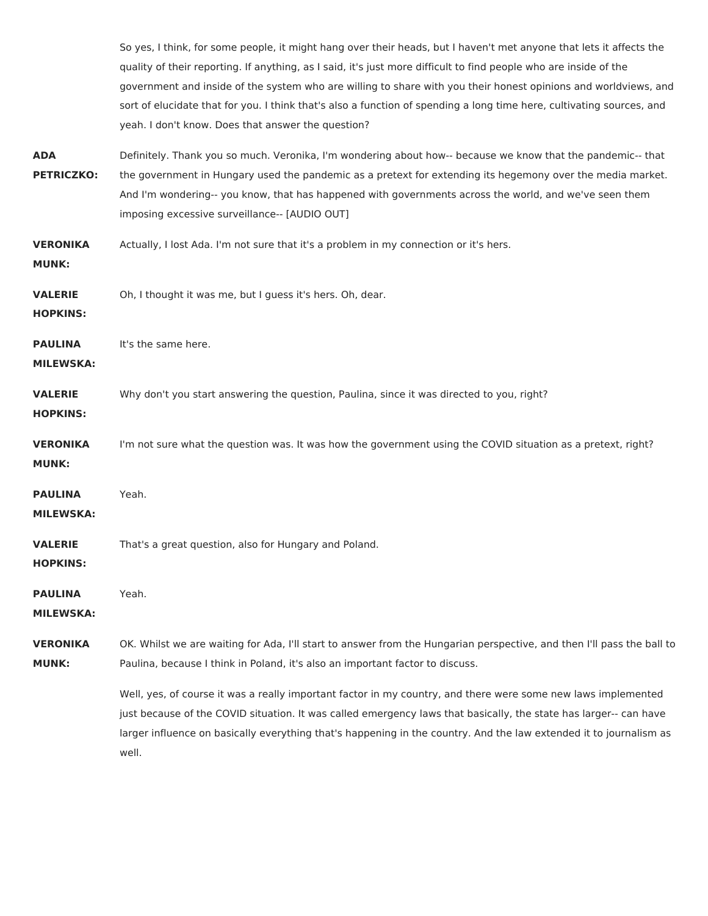|                                    | So yes, I think, for some people, it might hang over their heads, but I haven't met anyone that lets it affects the<br>quality of their reporting. If anything, as I said, it's just more difficult to find people who are inside of the<br>government and inside of the system who are willing to share with you their honest opinions and worldviews, and<br>sort of elucidate that for you. I think that's also a function of spending a long time here, cultivating sources, and<br>yeah. I don't know. Does that answer the question? |
|------------------------------------|--------------------------------------------------------------------------------------------------------------------------------------------------------------------------------------------------------------------------------------------------------------------------------------------------------------------------------------------------------------------------------------------------------------------------------------------------------------------------------------------------------------------------------------------|
| <b>ADA</b><br><b>PETRICZKO:</b>    | Definitely. Thank you so much. Veronika, I'm wondering about how-- because we know that the pandemic-- that<br>the government in Hungary used the pandemic as a pretext for extending its hegemony over the media market.<br>And I'm wondering-- you know, that has happened with governments across the world, and we've seen them<br>imposing excessive surveillance-- [AUDIO OUT]                                                                                                                                                       |
| <b>VERONIKA</b><br><b>MUNK:</b>    | Actually, I lost Ada. I'm not sure that it's a problem in my connection or it's hers.                                                                                                                                                                                                                                                                                                                                                                                                                                                      |
| <b>VALERIE</b><br><b>HOPKINS:</b>  | Oh, I thought it was me, but I guess it's hers. Oh, dear.                                                                                                                                                                                                                                                                                                                                                                                                                                                                                  |
| <b>PAULINA</b><br><b>MILEWSKA:</b> | It's the same here.                                                                                                                                                                                                                                                                                                                                                                                                                                                                                                                        |
| <b>VALERIE</b><br><b>HOPKINS:</b>  | Why don't you start answering the question, Paulina, since it was directed to you, right?                                                                                                                                                                                                                                                                                                                                                                                                                                                  |
| <b>VERONIKA</b><br><b>MUNK:</b>    | I'm not sure what the question was. It was how the government using the COVID situation as a pretext, right?                                                                                                                                                                                                                                                                                                                                                                                                                               |
| <b>PAULINA</b><br><b>MILEWSKA:</b> | Yeah.                                                                                                                                                                                                                                                                                                                                                                                                                                                                                                                                      |
| <b>VALERIE</b><br><b>HOPKINS:</b>  | That's a great question, also for Hungary and Poland.                                                                                                                                                                                                                                                                                                                                                                                                                                                                                      |
| <b>PAULINA</b><br><b>MILEWSKA:</b> | Yeah.                                                                                                                                                                                                                                                                                                                                                                                                                                                                                                                                      |
| <b>VERONIKA</b><br><b>MUNK:</b>    | OK. Whilst we are waiting for Ada, I'll start to answer from the Hungarian perspective, and then I'll pass the ball to<br>Paulina, because I think in Poland, it's also an important factor to discuss.                                                                                                                                                                                                                                                                                                                                    |
|                                    | Well, yes, of course it was a really important factor in my country, and there were some new laws implemented<br>just because of the COVID situation. It was called emergency laws that basically, the state has larger-- can have<br>larger influence on basically everything that's happening in the country. And the law extended it to journalism as<br>well.                                                                                                                                                                          |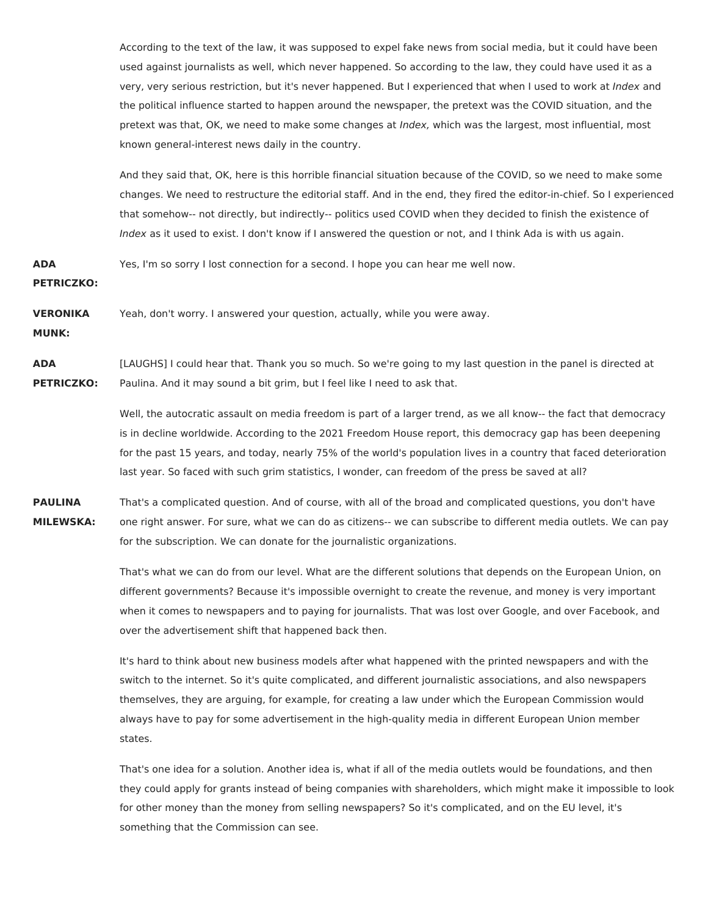According to the text of the law, it was supposed to expel fake news from social media, but it could have been used against journalists as well, which never happened. So according to the law, they could have used it as a very, very serious restriction, but it's never happened. But I experienced that when I used to work at Index and the political influence started to happen around the newspaper, the pretext was the COVID situation, and the pretext was that, OK, we need to make some changes at *Index*, which was the largest, most influential, most known general-interest news daily in the country.

And they said that, OK, here is this horrible financial situation because of the COVID, so we need to make some changes. We need to restructure the editorial staff. And in the end, they fired the editor-in-chief. So I experienced that somehow-- not directly, but indirectly-- politics used COVID when they decided to finish the existence of Index as it used to exist. I don't know if I answered the question or not, and I think Ada is with us again.

**ADA** Yes, I'm so sorry I lost connection for a second. I hope you can hear me well now.

**PETRICZKO:**

**VERONIKA** Yeah, don't worry. I answered your question, actually, while you were away.

**MUNK:**

**ADA PETRICZKO:** [LAUGHS] I could hear that. Thank you so much. So we're going to my last question in the panel is directed at Paulina. And it may sound a bit grim, but I feel like I need to ask that.

> Well, the autocratic assault on media freedom is part of a larger trend, as we all know-- the fact that democracy is in decline worldwide. According to the 2021 Freedom House report, this democracy gap has been deepening for the past 15 years, and today, nearly 75% of the world's population lives in a country that faced deterioration last year. So faced with such grim statistics, I wonder, can freedom of the press be saved at all?

**PAULINA MILEWSKA:** That's a complicated question. And of course, with all of the broad and complicated questions, you don't have one right answer. For sure, what we can do as citizens-- we can subscribe to different media outlets. We can pay for the subscription. We can donate for the journalistic organizations.

> That's what we can do from our level. What are the different solutions that depends on the European Union, on different governments? Because it's impossible overnight to create the revenue, and money is very important when it comes to newspapers and to paying for journalists. That was lost over Google, and over Facebook, and over the advertisement shift that happened back then.

It's hard to think about new business models after what happened with the printed newspapers and with the switch to the internet. So it's quite complicated, and different journalistic associations, and also newspapers themselves, they are arguing, for example, for creating a law under which the European Commission would always have to pay for some advertisement in the high-quality media in different European Union member states.

That's one idea for a solution. Another idea is, what if all of the media outlets would be foundations, and then they could apply for grants instead of being companies with shareholders, which might make it impossible to look for other money than the money from selling newspapers? So it's complicated, and on the EU level, it's something that the Commission can see.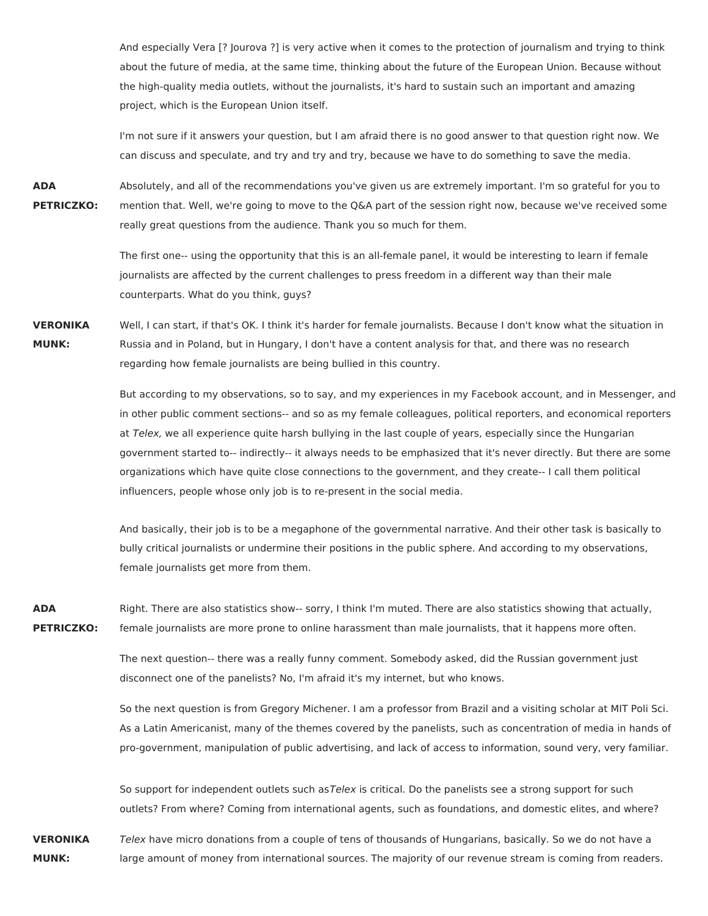And especially Vera [? Jourova ?] is very active when it comes to the protection of journalism and trying to think about the future of media, at the same time, thinking about the future of the European Union. Because without the high-quality media outlets, without the journalists, it's hard to sustain such an important and amazing project, which is the European Union itself.

I'm not sure if it answers your question, but I am afraid there is no good answer to that question right now. We can discuss and speculate, and try and try and try, because we have to do something to save the media.

**ADA PETRICZKO:** Absolutely, and all of the recommendations you've given us are extremely important. I'm so grateful for you to mention that. Well, we're going to move to the Q&A part of the session right now, because we've received some really great questions from the audience. Thank you so much for them.

> The first one-- using the opportunity that this is an all-female panel, it would be interesting to learn if female journalists are affected by the current challenges to press freedom in a different way than their male counterparts. What do you think, guys?

**VERONIKA MUNK:** Well, I can start, if that's OK. I think it's harder for female journalists. Because I don't know what the situation in Russia and in Poland, but in Hungary, I don't have a content analysis for that, and there was no research regarding how female journalists are being bullied in this country.

> But according to my observations, so to say, and my experiences in my Facebook account, and in Messenger, and in other public comment sections-- and so as my female colleagues, political reporters, and economical reporters at Telex, we all experience quite harsh bullying in the last couple of years, especially since the Hungarian government started to-- indirectly-- it always needs to be emphasized that it's never directly. But there are some organizations which have quite close connections to the government, and they create-- I call them political influencers, people whose only job is to re-present in the social media.

And basically, their job is to be a megaphone of the governmental narrative. And their other task is basically to bully critical journalists or undermine their positions in the public sphere. And according to my observations, female journalists get more from them.

**ADA PETRICZKO:** Right. There are also statistics show-- sorry, I think I'm muted. There are also statistics showing that actually, female journalists are more prone to online harassment than male journalists, that it happens more often.

> The next question-- there was a really funny comment. Somebody asked, did the Russian government just disconnect one of the panelists? No, I'm afraid it's my internet, but who knows.

So the next question is from Gregory Michener. I am a professor from Brazil and a visiting scholar at MIT Poli Sci. As a Latin Americanist, many of the themes covered by the panelists, such as concentration of media in hands of pro-government, manipulation of public advertising, and lack of access to information, sound very, very familiar.

So support for independent outlets such asTelex is critical. Do the panelists see a strong support for such outlets? From where? Coming from international agents, such as foundations, and domestic elites, and where?

**VERONIKA MUNK:** Telex have micro donations from a couple of tens of thousands of Hungarians, basically. So we do not have a large amount of money from international sources. The majority of our revenue stream is coming from readers.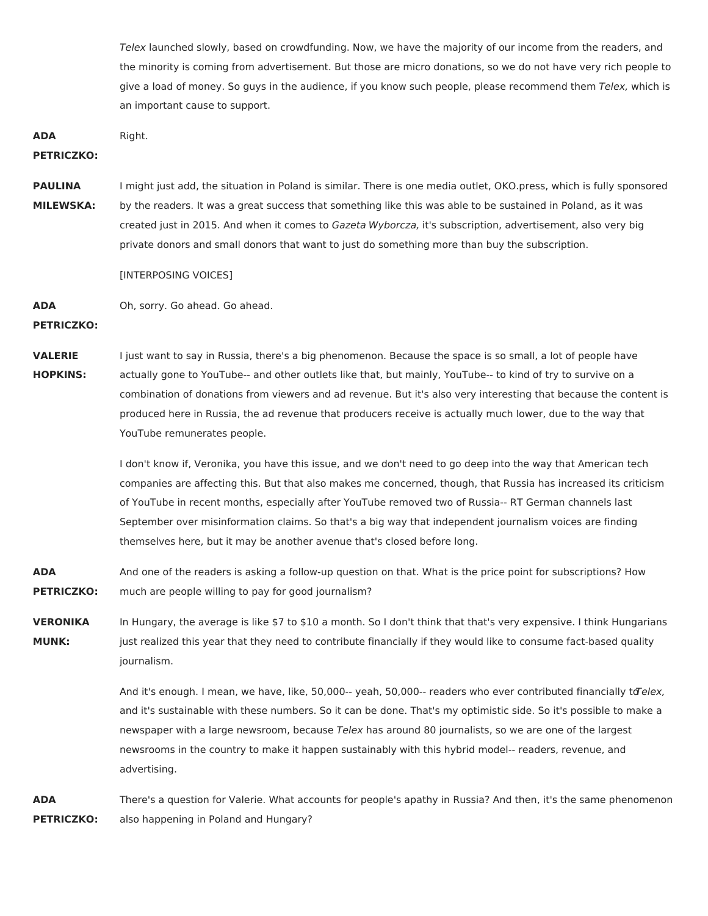Telex launched slowly, based on crowdfunding. Now, we have the majority of our income from the readers, and the minority is coming from advertisement. But those are micro donations, so we do not have very rich people to give a load of money. So guys in the audience, if you know such people, please recommend them Telex, which is an important cause to support.

**ADA** Right.

**PETRICZKO:**

**PAULINA MILEWSKA:** I might just add, the situation in Poland is similar. There is one media outlet, OKO.press, which is fully sponsored by the readers. It was a great success that something like this was able to be sustained in Poland, as it was created just in 2015. And when it comes to Gazeta Wyborcza, it's subscription, advertisement, also very big private donors and small donors that want to just do something more than buy the subscription.

[INTERPOSING VOICES]

**ADA** Oh, sorry. Go ahead. Go ahead.

**PETRICZKO:**

**VALERIE HOPKINS:** I just want to say in Russia, there's a big phenomenon. Because the space is so small, a lot of people have actually gone to YouTube-- and other outlets like that, but mainly, YouTube-- to kind of try to survive on a combination of donations from viewers and ad revenue. But it's also very interesting that because the content is produced here in Russia, the ad revenue that producers receive is actually much lower, due to the way that YouTube remunerates people.

> I don't know if, Veronika, you have this issue, and we don't need to go deep into the way that American tech companies are affecting this. But that also makes me concerned, though, that Russia has increased its criticism of YouTube in recent months, especially after YouTube removed two of Russia-- RT German channels last September over misinformation claims. So that's a big way that independent journalism voices are finding themselves here, but it may be another avenue that's closed before long.

**ADA PETRICZKO:** And one of the readers is asking a follow-up question on that. What is the price point for subscriptions? How much are people willing to pay for good journalism?

**VERONIKA MUNK:** In Hungary, the average is like \$7 to \$10 a month. So I don't think that that's very expensive. I think Hungarians just realized this year that they need to contribute financially if they would like to consume fact-based quality journalism.

> And it's enough. I mean, we have, like, 50,000-- yeah, 50,000-- readers who ever contributed financially to Telex, and it's sustainable with these numbers. So it can be done. That's my optimistic side. So it's possible to make a newspaper with a large newsroom, because Telex has around 80 journalists, so we are one of the largest newsrooms in the country to make it happen sustainably with this hybrid model-- readers, revenue, and advertising.

**ADA PETRICZKO:** There's a question for Valerie. What accounts for people's apathy in Russia? And then, it's the same phenomenon also happening in Poland and Hungary?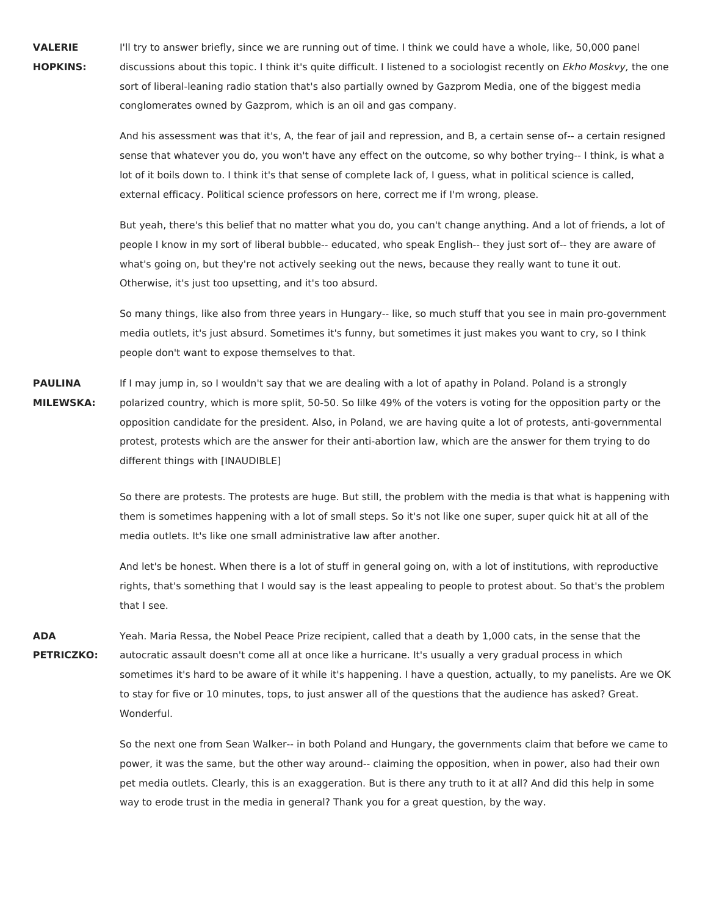**VALERIE HOPKINS:** I'll try to answer briefly, since we are running out of time. I think we could have a whole, like, 50,000 panel discussions about this topic. I think it's quite difficult. I listened to a sociologist recently on Ekho Moskvy, the one sort of liberal-leaning radio station that's also partially owned by Gazprom Media, one of the biggest media conglomerates owned by Gazprom, which is an oil and gas company.

> And his assessment was that it's, A, the fear of jail and repression, and B, a certain sense of-- a certain resigned sense that whatever you do, you won't have any effect on the outcome, so why bother trying-- I think, is what a lot of it boils down to. I think it's that sense of complete lack of, I guess, what in political science is called, external efficacy. Political science professors on here, correct me if I'm wrong, please.

> But yeah, there's this belief that no matter what you do, you can't change anything. And a lot of friends, a lot of people I know in my sort of liberal bubble-- educated, who speak English-- they just sort of-- they are aware of what's going on, but they're not actively seeking out the news, because they really want to tune it out. Otherwise, it's just too upsetting, and it's too absurd.

> So many things, like also from three years in Hungary-- like, so much stuff that you see in main pro-government media outlets, it's just absurd. Sometimes it's funny, but sometimes it just makes you want to cry, so I think people don't want to expose themselves to that.

**PAULINA MILEWSKA:** If I may jump in, so I wouldn't say that we are dealing with a lot of apathy in Poland. Poland is a strongly polarized country, which is more split, 50-50. So lilke 49% of the voters is voting for the opposition party or the opposition candidate for the president. Also, in Poland, we are having quite a lot of protests, anti-governmental protest, protests which are the answer for their anti-abortion law, which are the answer for them trying to do different things with [INAUDIBLE]

> So there are protests. The protests are huge. But still, the problem with the media is that what is happening with them is sometimes happening with a lot of small steps. So it's not like one super, super quick hit at all of the media outlets. It's like one small administrative law after another.

> And let's be honest. When there is a lot of stuff in general going on, with a lot of institutions, with reproductive rights, that's something that I would say is the least appealing to people to protest about. So that's the problem that I see.

**ADA PETRICZKO:** Yeah. Maria Ressa, the Nobel Peace Prize recipient, called that a death by 1,000 cats, in the sense that the autocratic assault doesn't come all at once like a hurricane. It's usually a very gradual process in which sometimes it's hard to be aware of it while it's happening. I have a question, actually, to my panelists. Are we OK to stay for five or 10 minutes, tops, to just answer all of the questions that the audience has asked? Great. Wonderful.

> So the next one from Sean Walker-- in both Poland and Hungary, the governments claim that before we came to power, it was the same, but the other way around-- claiming the opposition, when in power, also had their own pet media outlets. Clearly, this is an exaggeration. But is there any truth to it at all? And did this help in some way to erode trust in the media in general? Thank you for a great question, by the way.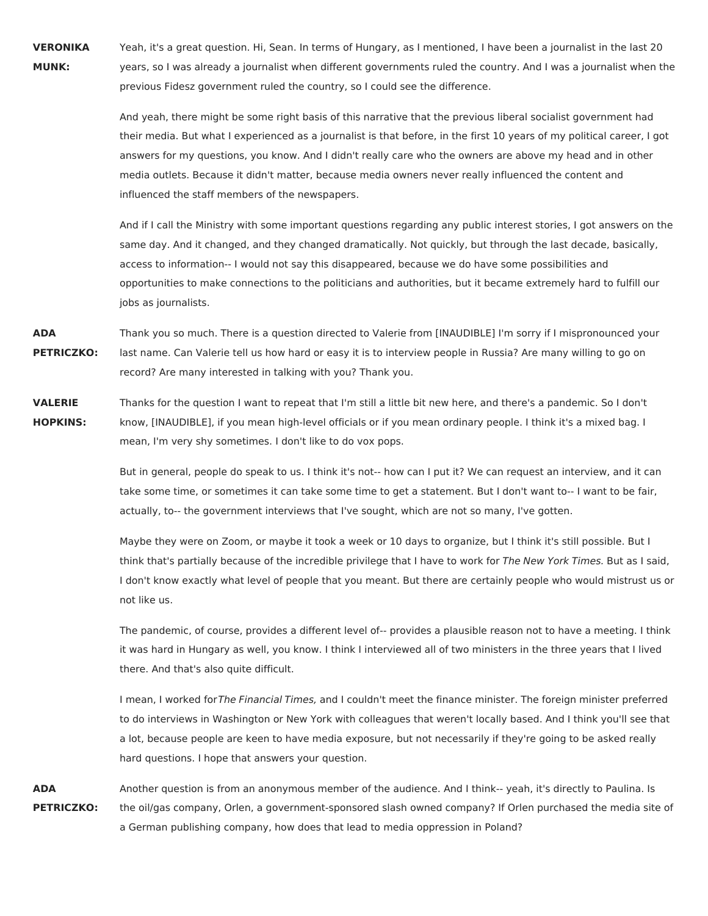**VERONIKA MUNK:** Yeah, it's a great question. Hi, Sean. In terms of Hungary, as I mentioned, I have been a journalist in the last 20 years, so I was already a journalist when different governments ruled the country. And I was a journalist when the previous Fidesz government ruled the country, so I could see the difference.

> And yeah, there might be some right basis of this narrative that the previous liberal socialist government had their media. But what I experienced as a journalist is that before, in the first 10 years of my political career, I got answers for my questions, you know. And I didn't really care who the owners are above my head and in other media outlets. Because it didn't matter, because media owners never really influenced the content and influenced the staff members of the newspapers.

> And if I call the Ministry with some important questions regarding any public interest stories, I got answers on the same day. And it changed, and they changed dramatically. Not quickly, but through the last decade, basically, access to information-- I would not say this disappeared, because we do have some possibilities and opportunities to make connections to the politicians and authorities, but it became extremely hard to fulfill our jobs as journalists.

**ADA PETRICZKO:** Thank you so much. There is a question directed to Valerie from [INAUDIBLE] I'm sorry if I mispronounced your last name. Can Valerie tell us how hard or easy it is to interview people in Russia? Are many willing to go on record? Are many interested in talking with you? Thank you.

**VALERIE HOPKINS:** Thanks for the question I want to repeat that I'm still a little bit new here, and there's a pandemic. So I don't know, [INAUDIBLE], if you mean high-level officials or if you mean ordinary people. I think it's a mixed bag. I mean, I'm very shy sometimes. I don't like to do vox pops.

> But in general, people do speak to us. I think it's not-- how can I put it? We can request an interview, and it can take some time, or sometimes it can take some time to get a statement. But I don't want to-- I want to be fair, actually, to-- the government interviews that I've sought, which are not so many, I've gotten.

Maybe they were on Zoom, or maybe it took a week or 10 days to organize, but I think it's still possible. But I think that's partially because of the incredible privilege that I have to work for The New York Times. But as I said, I don't know exactly what level of people that you meant. But there are certainly people who would mistrust us or not like us.

The pandemic, of course, provides a different level of-- provides a plausible reason not to have a meeting. I think it was hard in Hungary as well, you know. I think I interviewed all of two ministers in the three years that I lived there. And that's also quite difficult.

I mean, I worked forThe Financial Times, and I couldn't meet the finance minister. The foreign minister preferred to do interviews in Washington or New York with colleagues that weren't locally based. And I think you'll see that a lot, because people are keen to have media exposure, but not necessarily if they're going to be asked really hard questions. I hope that answers your question.

**ADA PETRICZKO:** Another question is from an anonymous member of the audience. And I think-- yeah, it's directly to Paulina. Is the oil/gas company, Orlen, a government-sponsored slash owned company? If Orlen purchased the media site of a German publishing company, how does that lead to media oppression in Poland?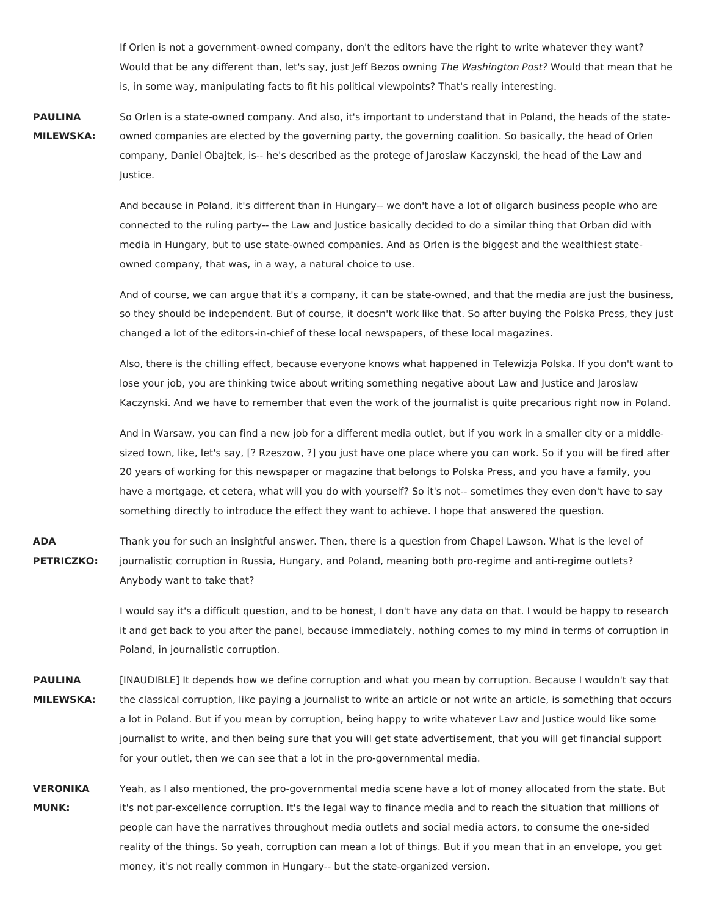If Orlen is not a government-owned company, don't the editors have the right to write whatever they want? Would that be any different than, let's say, just Jeff Bezos owning The Washington Post? Would that mean that he is, in some way, manipulating facts to fit his political viewpoints? That's really interesting.

**PAULINA MILEWSKA:** So Orlen is a state-owned company. And also, it's important to understand that in Poland, the heads of the stateowned companies are elected by the governing party, the governing coalition. So basically, the head of Orlen company, Daniel Obajtek, is-- he's described as the protege of Jaroslaw Kaczynski, the head of the Law and Justice.

> And because in Poland, it's different than in Hungary-- we don't have a lot of oligarch business people who are connected to the ruling party-- the Law and Justice basically decided to do a similar thing that Orban did with media in Hungary, but to use state-owned companies. And as Orlen is the biggest and the wealthiest stateowned company, that was, in a way, a natural choice to use.

And of course, we can argue that it's a company, it can be state-owned, and that the media are just the business, so they should be independent. But of course, it doesn't work like that. So after buying the Polska Press, they just changed a lot of the editors-in-chief of these local newspapers, of these local magazines.

Also, there is the chilling effect, because everyone knows what happened in Telewizja Polska. If you don't want to lose your job, you are thinking twice about writing something negative about Law and Justice and Jaroslaw Kaczynski. And we have to remember that even the work of the journalist is quite precarious right now in Poland.

And in Warsaw, you can find a new job for a different media outlet, but if you work in a smaller city or a middlesized town, like, let's say, [? Rzeszow, ?] you just have one place where you can work. So if you will be fired after 20 years of working for this newspaper or magazine that belongs to Polska Press, and you have a family, you have a mortgage, et cetera, what will you do with yourself? So it's not-- sometimes they even don't have to say something directly to introduce the effect they want to achieve. I hope that answered the question.

**ADA PETRICZKO:** Thank you for such an insightful answer. Then, there is a question from Chapel Lawson. What is the level of journalistic corruption in Russia, Hungary, and Poland, meaning both pro-regime and anti-regime outlets? Anybody want to take that?

> I would say it's a difficult question, and to be honest, I don't have any data on that. I would be happy to research it and get back to you after the panel, because immediately, nothing comes to my mind in terms of corruption in Poland, in journalistic corruption.

- **PAULINA MILEWSKA:** [INAUDIBLE] It depends how we define corruption and what you mean by corruption. Because I wouldn't say that the classical corruption, like paying a journalist to write an article or not write an article, is something that occurs a lot in Poland. But if you mean by corruption, being happy to write whatever Law and Justice would like some journalist to write, and then being sure that you will get state advertisement, that you will get financial support for your outlet, then we can see that a lot in the pro-governmental media.
- **VERONIKA MUNK:** Yeah, as I also mentioned, the pro-governmental media scene have a lot of money allocated from the state. But it's not par-excellence corruption. It's the legal way to finance media and to reach the situation that millions of people can have the narratives throughout media outlets and social media actors, to consume the one-sided reality of the things. So yeah, corruption can mean a lot of things. But if you mean that in an envelope, you get money, it's not really common in Hungary-- but the state-organized version.